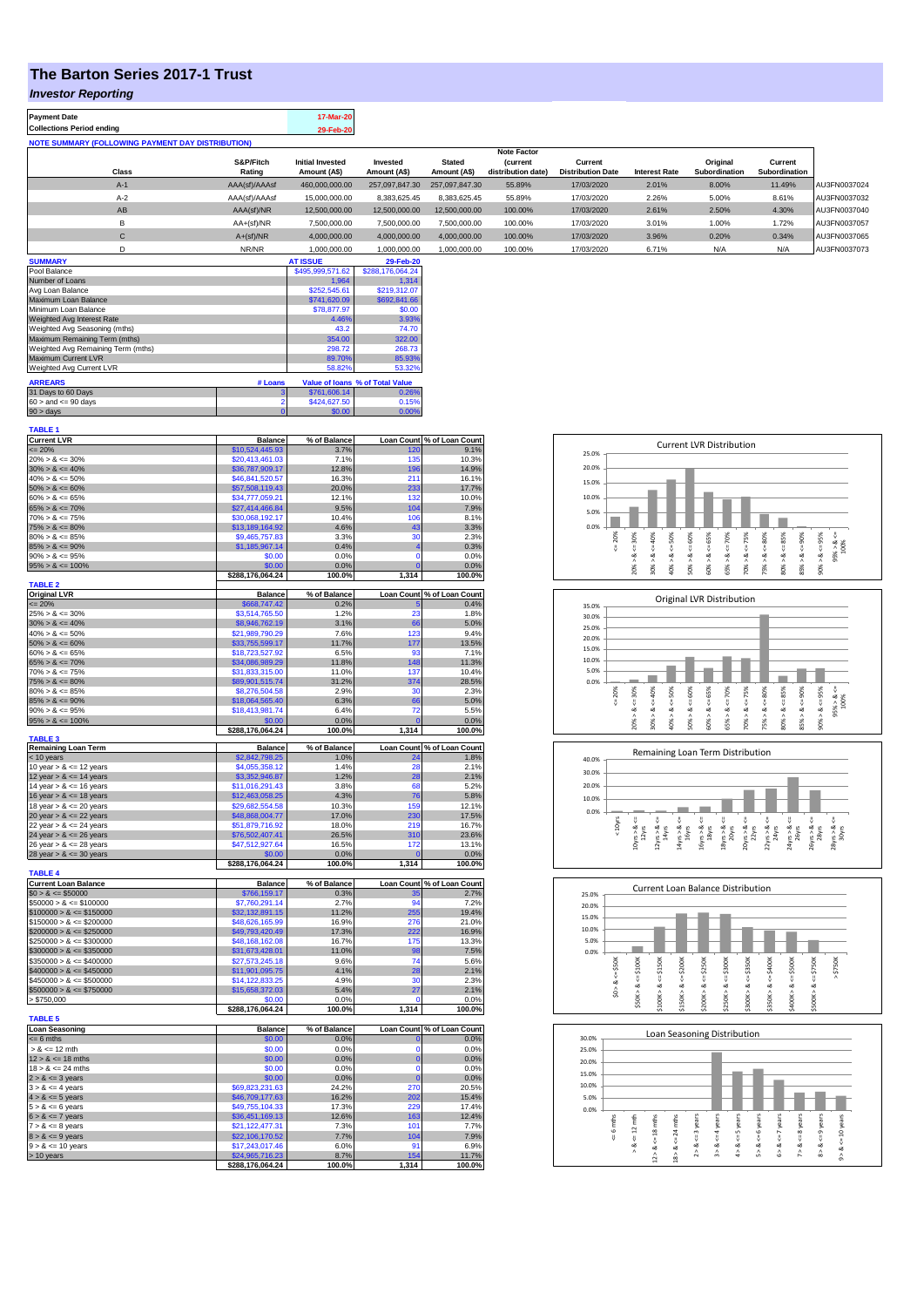## **The Barton Series 2017-1 Trust**

## *Investor Reporting*

| <b>Payment Date</b>                                      | 17-Mar-20 |
|----------------------------------------------------------|-----------|
| <b>Collections Period ending</b>                         | 29-Feb-20 |
| <b>NOTE SUMMARY (FOLLOWING PAYMENT DAY DISTRIBUTION)</b> |           |

|              |               |                         |                |                | <b>Note Factor</b> |                          |                      |               |               |              |
|--------------|---------------|-------------------------|----------------|----------------|--------------------|--------------------------|----------------------|---------------|---------------|--------------|
|              | S&P/Fitch     | <b>Initial Invested</b> | Invested       | <b>Stated</b>  | <b>Current</b>     | Current                  |                      | Original      | Current       |              |
| <b>Class</b> | Rating        | Amount (A\$)            | Amount (A\$)   | Amount (A\$)   | distribution date) | <b>Distribution Date</b> | <b>Interest Rate</b> | Subordination | Subordination |              |
| $A-1$        | AAA(sf)/AAAsf | 460,000,000.00          | 257.097.847.30 | 257.097.847.30 | 55.89%             | 17/03/2020               | 2.01%                | 8.00%         | 11.49%        | AU3FN0037024 |
| $A-2$        | AAA(sf)/AAAsf | 15,000,000,00           | 8.383.625.45   | 8.383.625.45   | 55.89%             | 17/03/2020               | 2.26%                | 5.00%         | 8.61%         | AU3FN0037032 |
| AB           | AAA(sf)/NR    | 12,500,000.00           | 12.500.000.00  | 12,500,000.00  | 100.00%            | 17/03/2020               | 2.61%                | 2.50%         | 4.30%         | AU3FN0037040 |
| в            | $AA+(sf)/NR$  | 7.500.000.00            | 7.500.000.00   | 7.500.000.00   | 100.00%            | 17/03/2020               | 3.01%                | 1.00%         | 1.72%         | AU3FN0037057 |
| $\sim$<br>Ü  | $A+(sf)/NR$   | 4,000,000.00            | 4,000,000.00   | 4,000,000.00   | 100.00%            | 17/03/2020               | 3.96%                | 0.20%         | 0.34%         | AU3FN0037065 |
|              | NR/NR         | 1,000,000.00            | 1,000,000.00   | 1,000,000.00   | 100.00%            | 17/03/2020               | 6.71%                | N/A           | N/A           | AU3FN0037073 |
| ------------ |               | --------                | ------         |                |                    |                          |                      |               |               |              |

| <b>SUMMARY</b>                     |         | <b>AT ISSUE</b>  | 29-Feb-20                       |
|------------------------------------|---------|------------------|---------------------------------|
| Pool Balance                       |         | \$495,999,571.62 | \$288,176,064.24                |
| Number of Loans                    |         | 1.964            | 1.314                           |
| Avg Loan Balance                   |         | \$252,545.61     | \$219,312.07                    |
| Maximum Loan Balance               |         | \$741,620.09     | \$692,841.66                    |
| Minimum Loan Balance               |         | \$78,877.97      | \$0.00                          |
| Weighted Avg Interest Rate         |         | 4.46%            | 3.93%                           |
| Weighted Avg Seasoning (mths)      |         | 43.2             | 74.70                           |
| Maximum Remaining Term (mths)      |         | 354.00           | 322.00                          |
| Weighted Avg Remaining Term (mths) |         | 298.72           | 268.73                          |
| Maximum Current LVR                |         | 89.70%           | 85.93%                          |
| Weighted Avg Current LVR           |         | 58.82%           | 53.32%                          |
| <b>ARREARS</b>                     | # Loans |                  | Value of Ioans % of Total Value |
| 31 Days to 60 Days                 |         | \$761,606.14     | 0.26%                           |
| $60 >$ and $\leq 90$ days          |         | \$424,627.50     | 0.15%                           |
| $90 > \text{days}$                 |         | \$0.00           | 0.00%                           |

| <b>TABLE 1</b>              |                                     |                |                       |                            |
|-----------------------------|-------------------------------------|----------------|-----------------------|----------------------------|
| <b>Current LVR</b>          | <b>Balance</b>                      | % of Balance   |                       | Loan Count % of Loan Count |
| $= 20%$                     | \$10,524,445.93                     | 3.7%           | 120                   | 9.1%                       |
| $20\% > 8 \le 30\%$         | \$20,413,461.03                     | 7.1%           | 135                   | 10.3%                      |
| $30\% > 8 \le 40\%$         | \$36,787,909.17                     | 12.8%          | 196                   | 14.9%                      |
| $40\% > 8 \le 50\%$         | \$46,841,520.57                     | 16.3%          | 211                   | 16.1%                      |
| $50\% > 8 \le 60\%$         | \$57,508,119.43                     | 20.0%          | 233                   | 17.7%                      |
| $60\% > 8 \le 65\%$         | \$34,777,059.21                     | 12.1%          | 132                   | 10.0%                      |
| $65\% > 8 \le 70\%$         | \$27,414,466.84                     | 9.5%           | 104                   | 7.9%                       |
| $70\% > 8 \le 75\%$         | \$30.068.192.17                     | 10.4%          | 106                   | 8.1%                       |
| $75\% > 8 \le 80\%$         | \$13,189,164.92                     | 4.6%           | 43                    | 3.3%                       |
| $80\% > 8 \le 85\%$         | \$9,465,757.83                      | 3.3%           | 30                    | 2.3%                       |
| $85\% > 8 \le 90\%$         | \$1,185,967.14                      | 0.4%           | 4                     | 0.3%                       |
| $90\% > 8 \le 95\%$         | \$0.00                              | 0.0%           | $\Omega$              | 0.0%                       |
| $95\% > 8 \le 100\%$        | \$0.00                              | 0.0%           | O                     | 0.0%                       |
| <b>TABLE 2</b>              | \$288,176,064.24                    | 100.0%         | 1,314                 | 100.0%                     |
| <b>Original LVR</b>         | <b>Balance</b>                      | % of Balance   |                       | Loan Count % of Loan Count |
| $= 20%$                     | \$668,747.42                        | 0.2%           | в                     | 0.4%                       |
| $25\% > 8 \le 30\%$         | \$3,514,765.50                      | 1.2%           | 23                    | 1.8%                       |
| $30\% > 8 \le 40\%$         | \$8,946,762.19                      | 3.1%           | 66                    | 5.0%                       |
| $40\% > 8 \le 50\%$         | \$21,989,790.29                     | 7.6%           | 123                   | 9.4%                       |
| $50\% > 8 \le 60\%$         | \$33,755,599.17                     | 11.7%          | 177                   | 13.5%                      |
| $60\% > 8 \le 65\%$         | \$18,723,527.92                     | 6.5%           | 93                    | 7.1%                       |
| $65\% > 8 \le 70\%$         | \$34,086,989.29                     | 11.8%          | 148                   | 11.3%                      |
| $70\% > 8 \le 75\%$         | \$31.833.315.00                     | 11.0%          | 137                   | 10.4%                      |
| $75\% > 8 \le 80\%$         | \$89,901,515.74                     | 31.2%          | 374                   | 28.5%                      |
| $80\% > 8 \le 85\%$         | \$8,276,504.58                      | 2.9%           | 30                    | 2.3%                       |
| $85\% > 8 \le 90\%$         | \$18,064,565.40                     | 6.3%           | 66                    | 5.0%                       |
| $90\% > 8 \le 95\%$         | \$18,413,981.74                     | 6.4%           | 72                    | 5.5%                       |
| $95\% > 8 \le 100\%$        | \$0.00                              | 0.0%           | $\Omega$              | 0.0%                       |
|                             | \$288,176,064.24                    | 100.0%         | 1,314                 | 100.0%                     |
| <b>TABLE 3</b>              |                                     |                |                       |                            |
| Remaining Loan Term         | <b>Balance</b>                      | % of Balance   |                       | Loan Count % of Loan Count |
| < 10 years                  | \$2,842,798.25                      | 1.0%           |                       | 1.8%                       |
| 10 year $> 8 \le 12$ years  | \$4,055,358.12                      | 1.4%           | 28                    | 2.1%                       |
| 12 year $> 8 < 14$ years    | \$3,352,946.87                      | 1.2%           | 28                    | 2.1%                       |
| 14 year $> 8 \le 16$ years  | \$11.016.291.43                     | 3.8%           | 68                    | 5.2%                       |
| 16 year $> 8 \le 18$ years  | \$12,463,058.25                     | 4.3%           | 76                    | 5.8%                       |
| 18 year $> 8 \le 20$ years  | \$29,682,554.58                     | 10.3%          | 159                   | 12.1%                      |
| 20 year $> 8 \le 22$ years  | \$48,868,004.77                     | 17.0%          | 230                   | 17.5%                      |
| 22 year $> 8 \le 24$ years  | \$51,879,716.92                     | 18.0%          | 219                   | 16.7%                      |
| 24 year $> 8 \le 26$ years  | \$76,502,407.41                     | 26.5%          | 310                   | 23.6%                      |
| 26 year > & <= 28 years     | \$47,512,927.64                     | 16.5%          | 172<br>$\overline{0}$ | 13.1%                      |
| 28 year $> 8 \le 30$ years  | \$0.00                              | 0.0%<br>100.0% | 1,314                 | 0.0%<br>100.0%             |
| <b>TABLE 4</b>              | \$288,176,064.24                    |                |                       |                            |
| <b>Current Loan Balance</b> | <b>Balance</b>                      | % of Balance   |                       | Loan Count % of Loan Count |
| $$0 > 8 \le $50000$         | \$766,159.17                        | 0.3%           | 35                    | 2.7%                       |
| $$50000 > 8 \le $100000$    | \$7,760,291.14                      | 2.7%           | 94                    | 7.2%                       |
| $$100000 > 8 \le $150000$   | 32,132,891.15                       | 11.2%          | 255                   | 19.4%                      |
| $$150000 > 8 \le $200000$   | \$48,626,165.99                     | 16.9%          | 276                   | 21.0%                      |
| $$200000 > 8 \leq $250000$  | \$49,793,420.49                     | 17.3%          | 222                   | 16.9%                      |
| $$250000 > 8 \leq $300000$  | \$48,168,162.08                     | 16.7%          | 175                   | 13.3%                      |
| $$300000 > 8 \leq $350000$  | \$31,673,428.01                     | 11.0%          | 98                    | 7.5%                       |
| $$350000 > 8 \le $400000$   | \$27,573,245.18                     | 9.6%           | 74                    | 5.6%                       |
| $$400000 > 8 \le $450000$   | \$11,901,095.75                     | 4.1%           | 28                    | 2.1%                       |
| $$450000 > 8 \le $500000$   | \$14,122,833.25                     | 4.9%           | 30                    | 2.3%                       |
| $$500000 > 8 \le $750000$   | \$15,658,372.03                     | 5.4%           | 27                    | 2.1%                       |
| > \$750,000                 | \$0.00                              | 0.0%           | O                     | 0.0%                       |
|                             | \$288,176,064.24                    | 100.0%         | 1,314                 | 100.0%                     |
| <b>TABLE 5</b>              |                                     |                |                       |                            |
| <b>Loan Seasoning</b>       | <b>Balance</b>                      | % of Balance   |                       | Loan Count % of Loan Count |
| $= 6$ mths                  | \$0.00                              | 0.0%           | $\mathbf{0}$          | 0.0%                       |
| $> 8 \le 12$ mth            | \$0.00                              | 0.0%           | $\Omega$              | 0.0%                       |
| $12 > 8 \le 18$ mths        | \$0.00                              | 0.0%           | $\mathbf 0$           | 0.0%                       |
| $18 > 8 \le 24$ mths        | \$0.00                              | 0.0%           | $\Omega$              | 0.0%                       |
| $2 > 8 \le 3$ years         | \$0.00                              | 0.0%           | $\overline{0}$        | 0.0%                       |
| $3 > 8 \leq 4$ years        | \$69,823,231.63                     | 24.2%          | 270                   | 20.5%                      |
| $4 > 8 \le 5$ years         | \$46,709,177.63                     | 16.2%          | 202                   | 15.4%                      |
| $5 > 8 \le 6$ years         | \$49,755,104.33                     | 17.3%          | 229                   | 17.4%                      |
| $6 > 8 \le 7$ years         | \$36,451,169.13                     | 12.6%          | 163                   | 12.4%                      |
| $7 > 8 \le 8$ years         | \$21,122,477.31                     | 7.3%           | 101                   | 7.7%                       |
| $8 > 8 \le 9$ years         | \$22,106,170.52                     | 7.7%           | 104                   | 7.9%                       |
| $9 > 8 \le 10$ years        | \$17,243,017.46                     | 6.0%           | 91                    | 6.9%                       |
| > 10 years                  | \$24,965,716.23<br>\$288,176,064.24 | 8.7%<br>100.0% | 154<br>1,314          | 11.7%<br>100.0%            |
|                             |                                     |                |                       |                            |

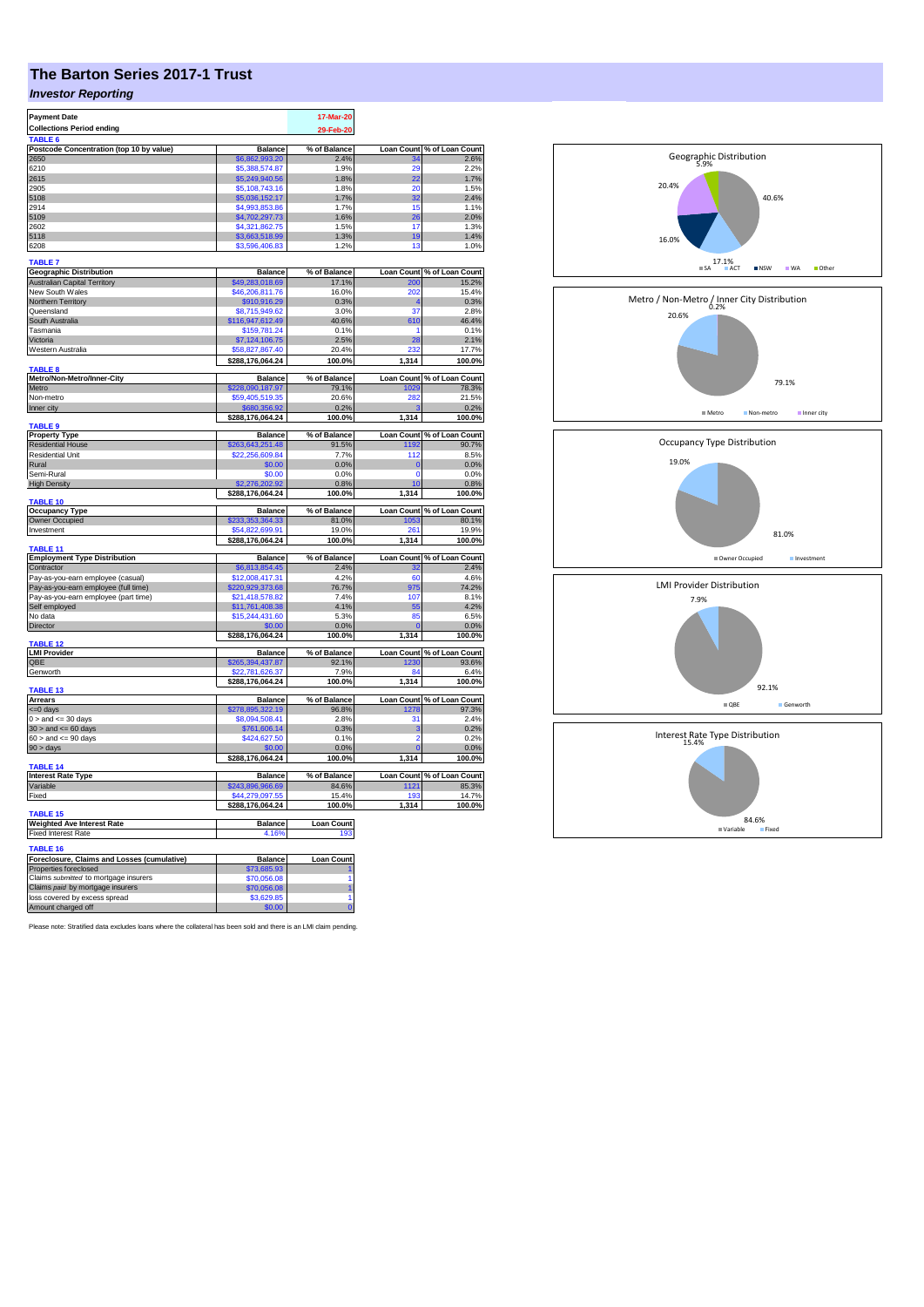## **The Barton Series 2017-1 Trust**

## *Investor Reporting*

| <b>Payment Date</b>                                 |                      | 17-Mar-20         |                   |                            |
|-----------------------------------------------------|----------------------|-------------------|-------------------|----------------------------|
|                                                     |                      |                   |                   |                            |
| <b>Collections Period ending</b>                    |                      | 29-Feb-20         |                   |                            |
| TABLE <sub>6</sub>                                  |                      |                   |                   |                            |
| Postcode Concentration (top 10 by value)            | <b>Balance</b>       | % of Balance      | <b>Loan Count</b> | % of Loan Count            |
| 2650                                                | \$6,862,993.20       | 2.4%              | 20                | 2.6%<br>2.2%               |
| 6210                                                | \$5,388,574.87       | 1.9%              | 22                |                            |
| 2615                                                | \$5,249,940.56       | 1.8%              |                   | 1.7%                       |
| 2905                                                | \$5,108,743.16       | 1.8%              | 20                | 1.5%                       |
| 5108                                                | \$5.036.152.17       | 1.7%              | 32                | 2.4%                       |
| 2914                                                | \$4,993,853.86       | 1.7%              | 15                | 1.1%                       |
| 5109                                                | \$4,702,297.73       | 1.6%              | 26                | 2.0%                       |
| 2602                                                | \$4,321,862.75       | 1.5%              | 17                | 1.3%                       |
| 5118                                                | \$3,663,518.99       | 1.3%              | 19                | 1.4%                       |
| 6208                                                | \$3,596,406.83       | 1.2%              | 13                | 1.0%                       |
| <b>TABLE 7</b>                                      |                      |                   |                   |                            |
|                                                     |                      |                   |                   |                            |
| <b>Geographic Distribution</b>                      | <b>Balance</b>       | % of Balance      | Loan Count        | % of Loan Count            |
| <b>Australian Capital Territory</b>                 | \$49,283,018.69      | 17.1%             | 200               | 15.2%                      |
| New South Wales                                     | \$46,206,811.76      | 16.0%             | 202               | 15.4%                      |
| Northern Territory                                  | \$910,916.29         | 0.3%              |                   | 0.3%                       |
| Queensland                                          | \$8,715,949.62       | 3.0%              | 37                | 2.8%                       |
| South Australia                                     | \$116,947,612.49     | 40.6%             | 610               | 46.4%                      |
| Tasmania                                            | \$159,781.24         | 0.1%              | 1                 | 0.1%                       |
| Victoria                                            | \$7,124,106.75       | 2.5%              | 28                | 2.1%                       |
| Western Australia                                   | \$58,827,867.40      | 20.4%             | 232               | 17.7%                      |
|                                                     | \$288,176,064.24     | 100.0%            | 1,314             | 100.0%                     |
| TABLE 8                                             |                      |                   |                   |                            |
| Metro/Non-Metro/Inner-City                          | <b>Balance</b>       | % of Balance      | <b>Loan Count</b> | % of Loan Count            |
| Metro                                               | \$228,090,187.97     | 79.1%             | 1029              | 78.3%                      |
| Non-metro                                           | \$59,405,519.35      | 20.6%             | 282               | 21.5%                      |
| Inner city                                          | \$680,356.92         | 0.2%              |                   | 0.2%                       |
|                                                     | \$288,176,064.24     | 100.0%            | 1,314             | 100.0%                     |
| <b>TABLE 9</b>                                      |                      |                   |                   |                            |
| <b>Property Type</b>                                | <b>Balance</b>       | % of Balance      | <b>Loan Count</b> | % of Loan Count<br>90.7%   |
| <b>Residential House</b>                            | 263,643,251.48       | 91.5%             | 1192              |                            |
| <b>Residential Unit</b>                             | \$22,256,609.84      | 7.7%              | 112               | 8.5%                       |
| Rural                                               | \$0.00               | 0.0%              | $\mathbf 0$       | 0.0%                       |
| Semi-Rural                                          | \$0.00               | 0.0%              | $\mathbf 0$       | 0.0%                       |
| <b>High Density</b>                                 | 276.202.92           | 0.8%              | 10                | 0.8%                       |
|                                                     | \$288,176,064.24     | 100.0%            | 1,314             | 100.0%                     |
| <b>TABLE 10</b>                                     |                      |                   |                   |                            |
|                                                     |                      |                   |                   |                            |
| <b>Occupancy Type</b>                               | <b>Balance</b>       | % of Balance      | <b>Loan Count</b> |                            |
| Owner Occupied                                      | \$233,353,364.33     | 81.0%             | 1053              | % of Loan Count<br>80.1%   |
| Investment                                          | \$54,822,699.91      | 19.0%             | 261               | 19.9%                      |
|                                                     | \$288,176,064.24     | 100.0%            | 1,314             | 100.0%                     |
| TABLE 11                                            |                      |                   |                   |                            |
| <b>Employment Type Distribution</b>                 | <b>Balance</b>       | % of Balance      | Loan Count        | % of Loan Count            |
| Contractor                                          | \$6,813,854.45       | 2.4%              | 32                | 2.4%                       |
| Pay-as-you-earn employee (casual)                   | \$12,008,417.31      | 4.2%              | 60                | 4.6%                       |
| Pay-as-you-earn employee (full time)                | \$220,929,373.68     | 76.7%             | 975               | 74.2%                      |
| Pay-as-you-earn employee (part time)                | \$21,418,578.82      | 7.4%              | 107               | 8.1%                       |
| Self employed                                       | \$11,761,408.38      | 4.1%              | 55                | 4.2%                       |
| No data                                             | \$15,244,431.60      | 5.3%              | 85                | 6.5%                       |
| Director                                            | \$0.00               | 0.0%              |                   | 0.0%                       |
|                                                     | \$288,176,064.24     | 100.0%            | 1,314             | 100.0%                     |
| <b>TABLE 12</b>                                     |                      |                   |                   |                            |
| <b>LMI Provider</b>                                 | <b>Balance</b>       | % of Balance      |                   | Loan Count % of Loan Count |
| QBE                                                 | \$265,394,437.87     | 92.1%             | 1230              | 93.6%                      |
| Genworth                                            | \$22,781,626.37      | 7.9%              | 84                | 6.4%                       |
|                                                     | \$288,176,064.24     | 100.0%            | 1,314             | 100.0%                     |
| TABLE 13                                            |                      |                   |                   |                            |
| Arrears                                             | <b>Balance</b>       | % of Balance      | <b>Loan Count</b> | % of Loan Count            |
| <=0 days                                            | \$278,895,322.19     | 96.8%             | 1278              | 97.3%                      |
| $0 >$ and $\leq 30$ days                            | \$8,094,508.41       | 2.8%              | 31                | 2.4%                       |
| $30 >$ and $\leq 60$ days                           | \$761,606.14         | 0.3%              | 3                 | 0.2%                       |
| $60 >$ and $\leq 90$ days                           | \$424,627.50         | 0.1%              | $\overline{2}$    | 0.2%                       |
| 90 > days                                           |                      | 0.0%              |                   | 0.0%                       |
|                                                     | \$288,176,064.24     | 100.0%            | 1,314             | 100.0%                     |
| <b>TABLE 14</b>                                     |                      |                   |                   |                            |
| <b>Interest Rate Type</b>                           | <b>Balance</b>       | % of Balance      |                   | Loan Count % of Loan Count |
| Variable                                            | \$243,896,966.69     | 84.6%             | 1121              | 85.3%                      |
| Fixed                                               | \$44,279,097.55      | 15.4%             | 193               | 14.7%                      |
|                                                     | \$288,176,064.24     | 100.0%            | 1,314             | 100.0%                     |
| TABLE <sub>15</sub>                                 |                      |                   |                   |                            |
| <b>Weighted Ave Interest Rate</b>                   | <b>Balance</b>       | <b>Loan Count</b> |                   |                            |
| <b>Fixed Interest Rate</b>                          | 4.16%                | 193               |                   |                            |
|                                                     |                      |                   |                   |                            |
| <b>TABLE 16</b>                                     |                      |                   |                   |                            |
| Foreclosure, Claims and Losses (cumulative)         | <b>Balance</b>       | <b>Loan Count</b> |                   |                            |
| Properties foreclosed                               | \$73,685.93          |                   |                   |                            |
| Claims submitted to mortgage insurers               | \$70,056.08          |                   |                   |                            |
| Claims paid by mortgage insurers                    | \$70,056.08          |                   |                   |                            |
| loss covered by excess spread<br>Amount charged off | \$3,629.85<br>\$0.00 | $\Omega$          |                   |                            |

Please note: Stratified data excludes loans where the collateral has been sold and there is an LMI claim pending.